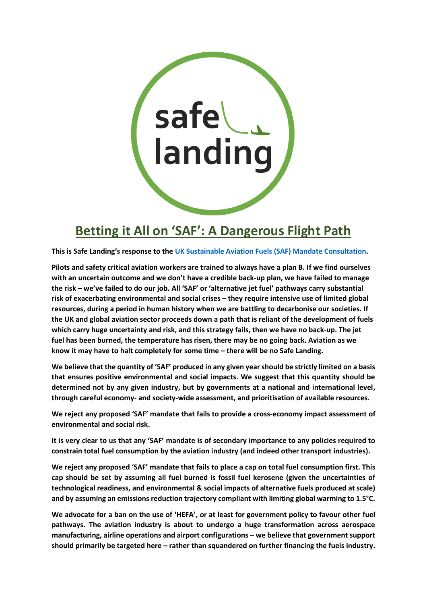

# **Betting it All on 'SAF': A Dangerous Flight Path**

**This is Safe Landing's response to the [UK Sustainable Aviation Fuels \(SAF\) Mandate Consultation.](https://www.gov.uk/government/consultations/mandating-the-use-of-sustainable-aviation-fuels-in-the-uk)**

**Pilots and safety critical aviation workers are trained to always have a plan B. If we find ourselves with an uncertain outcome and we don't have a credible back-up plan, we have failed to manage the risk – we've failed to do our job. All 'SAF' or 'alternative jet fuel' pathways carry substantial risk of exacerbating environmental and social crises – they require intensive use of limited global resources, during a period in human history when we are battling to decarbonise our societies. If the UK and global aviation sector proceeds down a path that is reliant of the development of fuels which carry huge uncertainty and risk, and this strategy fails, then we have no back-up. The jet fuel has been burned, the temperature has risen, there may be no going back. Aviation as we know it may have to halt completely for some time – there will be no Safe Landing.** 

**We believe that the quantity of 'SAF' produced in any given year should be strictly limited on a basis that ensures positive environmental and social impacts. We suggest that this quantity should be determined not by any given industry, but by governments at a national and international level, through careful economy- and society-wide assessment, and prioritisation of available resources.**

**We reject any proposed 'SAF' mandate that fails to provide a cross-economy impact assessment of environmental and social risk.**

**It is very clear to us that any 'SAF' mandate is of secondary importance to any policies required to constrain total fuel consumption by the aviation industry (and indeed other transport industries).**

**We reject any proposed 'SAF' mandate that fails to place a cap on total fuel consumption first. This cap should be set by assuming all fuel burned is fossil fuel kerosene (given the uncertainties of technological readiness, and environmental & social impacts of alternative fuels produced at scale) and by assuming an emissions reduction trajectory compliant with limiting global warming to 1.5°C.**

**We advocate for a ban on the use of 'HEFA', or at least for government policy to favour other fuel pathways. The aviation industry is about to undergo a huge transformation across aerospace manufacturing, airline operations and airport configurations – we believe that government support should primarily be targeted here – rather than squandered on further financing the fuels industry.**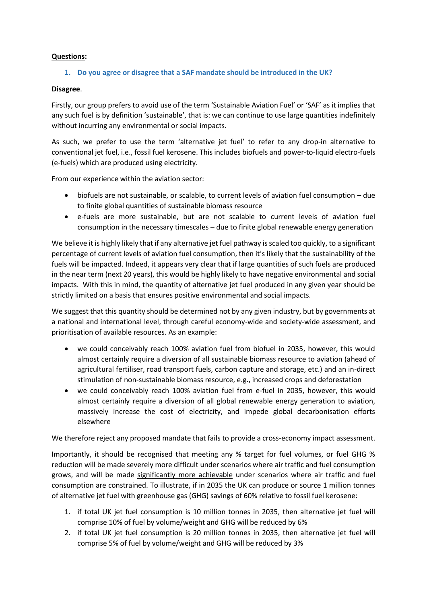## **Questions:**

## **1. Do you agree or disagree that a SAF mandate should be introduced in the UK?**

#### **Disagree**.

Firstly, our group prefers to avoid use of the term 'Sustainable Aviation Fuel' or 'SAF' as it implies that any such fuel is by definition 'sustainable', that is: we can continue to use large quantities indefinitely without incurring any environmental or social impacts.

As such, we prefer to use the term 'alternative jet fuel' to refer to any drop-in alternative to conventional jet fuel, i.e., fossil fuel kerosene. This includes biofuels and power-to-liquid electro-fuels (e-fuels) which are produced using electricity.

From our experience within the aviation sector:

- biofuels are not sustainable, or scalable, to current levels of aviation fuel consumption due to finite global quantities of sustainable biomass resource
- e-fuels are more sustainable, but are not scalable to current levels of aviation fuel consumption in the necessary timescales – due to finite global renewable energy generation

We believe it is highly likely that if any alternative jet fuel pathway is scaled too quickly, to a significant percentage of current levels of aviation fuel consumption, then it's likely that the sustainability of the fuels will be impacted. Indeed, it appears very clear that if large quantities of such fuels are produced in the near term (next 20 years), this would be highly likely to have negative environmental and social impacts. With this in mind, the quantity of alternative jet fuel produced in any given year should be strictly limited on a basis that ensures positive environmental and social impacts.

We suggest that this quantity should be determined not by any given industry, but by governments at a national and international level, through careful economy-wide and society-wide assessment, and prioritisation of available resources. As an example:

- we could conceivably reach 100% aviation fuel from biofuel in 2035, however, this would almost certainly require a diversion of all sustainable biomass resource to aviation (ahead of agricultural fertiliser, road transport fuels, carbon capture and storage, etc.) and an in-direct stimulation of non-sustainable biomass resource, e.g., increased crops and deforestation
- we could conceivably reach 100% aviation fuel from e-fuel in 2035, however, this would almost certainly require a diversion of all global renewable energy generation to aviation, massively increase the cost of electricity, and impede global decarbonisation efforts elsewhere

We therefore reject any proposed mandate that fails to provide a cross-economy impact assessment.

Importantly, it should be recognised that meeting any % target for fuel volumes, or fuel GHG % reduction will be made severely more difficult under scenarios where air traffic and fuel consumption grows, and will be made significantly more achievable under scenarios where air traffic and fuel consumption are constrained. To illustrate, if in 2035 the UK can produce or source 1 million tonnes of alternative jet fuel with greenhouse gas (GHG) savings of 60% relative to fossil fuel kerosene:

- 1. if total UK jet fuel consumption is 10 million tonnes in 2035, then alternative jet fuel will comprise 10% of fuel by volume/weight and GHG will be reduced by 6%
- 2. if total UK jet fuel consumption is 20 million tonnes in 2035, then alternative jet fuel will comprise 5% of fuel by volume/weight and GHG will be reduced by 3%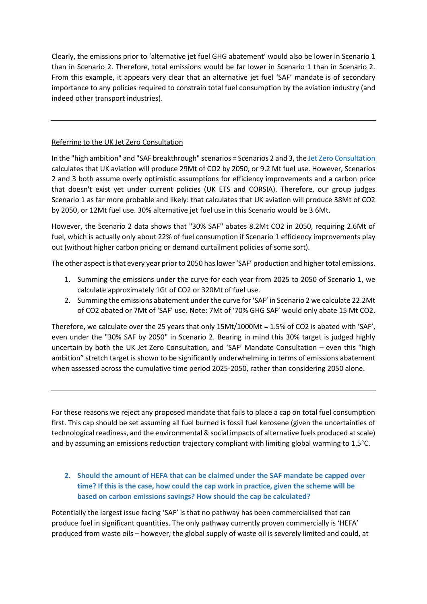Clearly, the emissions prior to 'alternative jet fuel GHG abatement' would also be lower in Scenario 1 than in Scenario 2. Therefore, total emissions would be far lower in Scenario 1 than in Scenario 2. From this example, it appears very clear that an alternative jet fuel 'SAF' mandate is of secondary importance to any policies required to constrain total fuel consumption by the aviation industry (and indeed other transport industries).

# Referring to the UK Jet Zero Consultation

In the "high ambition" and "SAF breakthrough" scenarios = Scenarios 2 and 3, the [Jet Zero Consultation](https://www.gov.uk/government/consultations/achieving-net-zero-aviation-by-2050) calculates that UK aviation will produce 29Mt of CO2 by 2050, or 9.2 Mt fuel use. However, Scenarios 2 and 3 both assume overly optimistic assumptions for efficiency improvements and a carbon price that doesn't exist yet under current policies (UK ETS and CORSIA). Therefore, our group judges Scenario 1 as far more probable and likely: that calculates that UK aviation will produce 38Mt of CO2 by 2050, or 12Mt fuel use. 30% alternative jet fuel use in this Scenario would be 3.6Mt.

However, the Scenario 2 data shows that "30% SAF" abates 8.2Mt CO2 in 2050, requiring 2.6Mt of fuel, which is actually only about 22% of fuel consumption if Scenario 1 efficiency improvements play out (without higher carbon pricing or demand curtailment policies of some sort).

The other aspect is that every year prior to 2050 has lower'SAF' production and higher total emissions.

- 1. Summing the emissions under the curve for each year from 2025 to 2050 of Scenario 1, we calculate approximately 1Gt of CO2 or 320Mt of fuel use.
- 2. Summing the emissions abatement under the curve for 'SAF' in Scenario 2 we calculate 22.2Mt of CO2 abated or 7Mt of 'SAF' use. Note: 7Mt of '70% GHG SAF' would only abate 15 Mt CO2.

Therefore, we calculate over the 25 years that only 15Mt/1000Mt = 1.5% of CO2 is abated with 'SAF', even under the "30% SAF by 2050" in Scenario 2. Bearing in mind this 30% target is judged highly uncertain by both the UK Jet Zero Consultation, and 'SAF' Mandate Consultation – even this "high ambition" stretch target is shown to be significantly underwhelming in terms of emissions abatement when assessed across the cumulative time period 2025-2050, rather than considering 2050 alone.

For these reasons we reject any proposed mandate that fails to place a cap on total fuel consumption first. This cap should be set assuming all fuel burned is fossil fuel kerosene (given the uncertainties of technological readiness, and the environmental& social impacts of alternative fuels produced at scale) and by assuming an emissions reduction trajectory compliant with limiting global warming to 1.5°C.

# **2. Should the amount of HEFA that can be claimed under the SAF mandate be capped over time? If this is the case, how could the cap work in practice, given the scheme will be based on carbon emissions savings? How should the cap be calculated?**

Potentially the largest issue facing 'SAF' is that no pathway has been commercialised that can produce fuel in significant quantities. The only pathway currently proven commercially is 'HEFA' produced from waste oils – however, the global supply of waste oil is severely limited and could, at